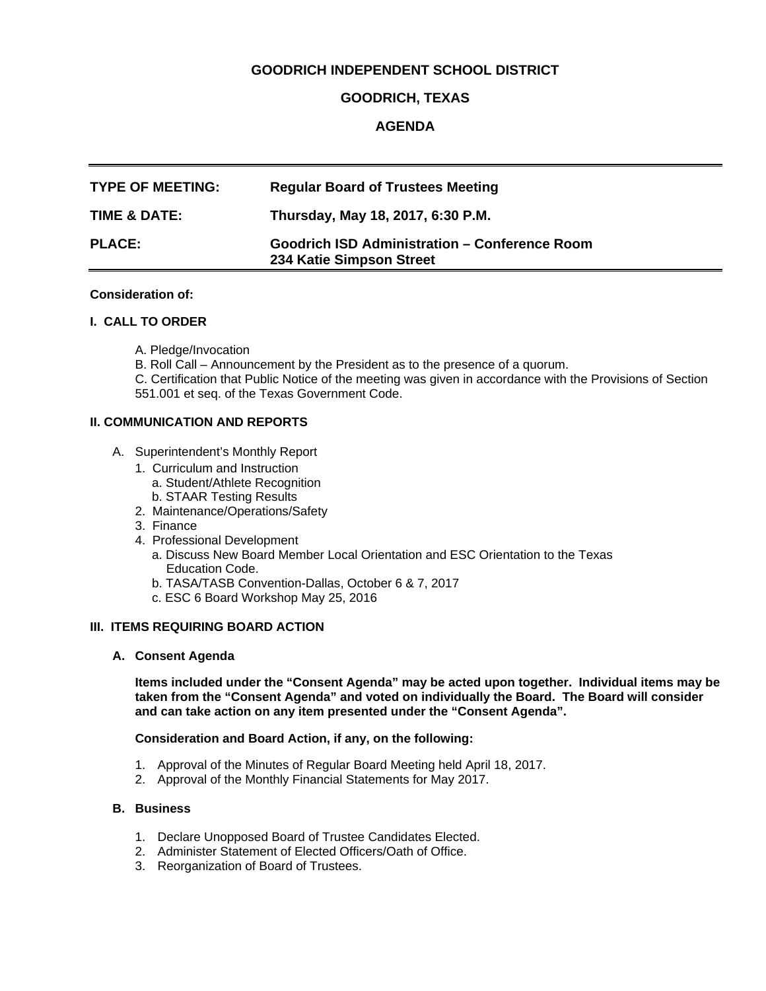## **GOODRICH INDEPENDENT SCHOOL DISTRICT**

## **GOODRICH, TEXAS**

# **AGENDA**

| <b>TYPE OF MEETING:</b> | <b>Regular Board of Trustees Meeting</b>                                         |
|-------------------------|----------------------------------------------------------------------------------|
| TIME & DATE:            | Thursday, May 18, 2017, 6:30 P.M.                                                |
| <b>PLACE:</b>           | <b>Goodrich ISD Administration - Conference Room</b><br>234 Katie Simpson Street |

### **Consideration of:**

### **I. CALL TO ORDER**

- A. Pledge/Invocation
- B. Roll Call Announcement by the President as to the presence of a quorum.

 C. Certification that Public Notice of the meeting was given in accordance with the Provisions of Section 551.001 et seq. of the Texas Government Code.

### **II. COMMUNICATION AND REPORTS**

- A. Superintendent's Monthly Report
	- 1. Curriculum and Instruction
		- a. Student/Athlete Recognition b. STAAR Testing Results
	- 2. Maintenance/Operations/Safety
	- 3. Finance
	- 4. Professional Development
		- a. Discuss New Board Member Local Orientation and ESC Orientation to the Texas Education Code.
		- b. TASA/TASB Convention-Dallas, October 6 & 7, 2017
		- c. ESC 6 Board Workshop May 25, 2016

### **III. ITEMS REQUIRING BOARD ACTION**

#### **A. Consent Agenda**

**Items included under the "Consent Agenda" may be acted upon together. Individual items may be taken from the "Consent Agenda" and voted on individually the Board. The Board will consider and can take action on any item presented under the "Consent Agenda".** 

### **Consideration and Board Action, if any, on the following:**

- 1. Approval of the Minutes of Regular Board Meeting held April 18, 2017.
- 2. Approval of the Monthly Financial Statements for May 2017.

### **B. Business**

- 1. Declare Unopposed Board of Trustee Candidates Elected.
- 2. Administer Statement of Elected Officers/Oath of Office.
- 3. Reorganization of Board of Trustees.